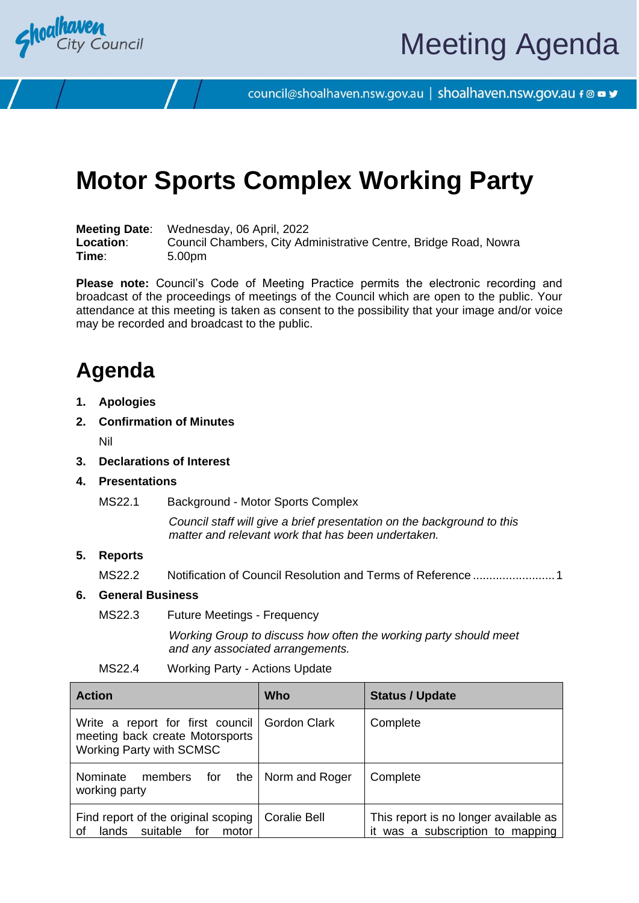

council@shoalhaven.nsw.gov.au | shoalhaven.nsw.gov.au f @ ■ y

# **Motor Sports Complex Working Party**

**Meeting Date**: Wednesday, 06 April, 2022 **Location**: Council Chambers, City Administrative Centre, Bridge Road, Nowra **Time**: 5.00pm

**Please note:** Council's Code of Meeting Practice permits the electronic recording and broadcast of the proceedings of meetings of the Council which are open to the public. Your attendance at this meeting is taken as consent to the possibility that your image and/or voice may be recorded and broadcast to the public.

# **Agenda**

- **1. Apologies**
- **2. Confirmation of Minutes**

Nil

- **3. Declarations of Interest**
- **4. Presentations**
	- MS22.1 Background Motor Sports Complex

*Council staff will give a brief presentation on the background to this matter and relevant work that has been undertaken.* 

### **5. Reports**

MS22.2 Notification of Council Resolution and Terms of Reference ........................[.1](#page-3-0)

### **6. General Business**

MS22.3 Future Meetings - Frequency

*Working Group to discuss how often the working party should meet and any associated arrangements.* 

| MS22.4 | <b>Working Party - Actions Update</b> |
|--------|---------------------------------------|
|--------|---------------------------------------|

| <b>Action</b>                                                                                                | <b>Who</b>           | <b>Status / Update</b>                                                    |
|--------------------------------------------------------------------------------------------------------------|----------------------|---------------------------------------------------------------------------|
| Write a report for first council Gordon Clark<br>meeting back create Motorsports<br>Working Party with SCMSC |                      | Complete                                                                  |
| Nominate<br>members for<br>working party                                                                     | the   Norm and Roger | Complete                                                                  |
| Find report of the original scoping<br>for<br>suitable<br>οf<br>lands<br>motor                               | Coralie Bell         | This report is no longer available as<br>it was a subscription to mapping |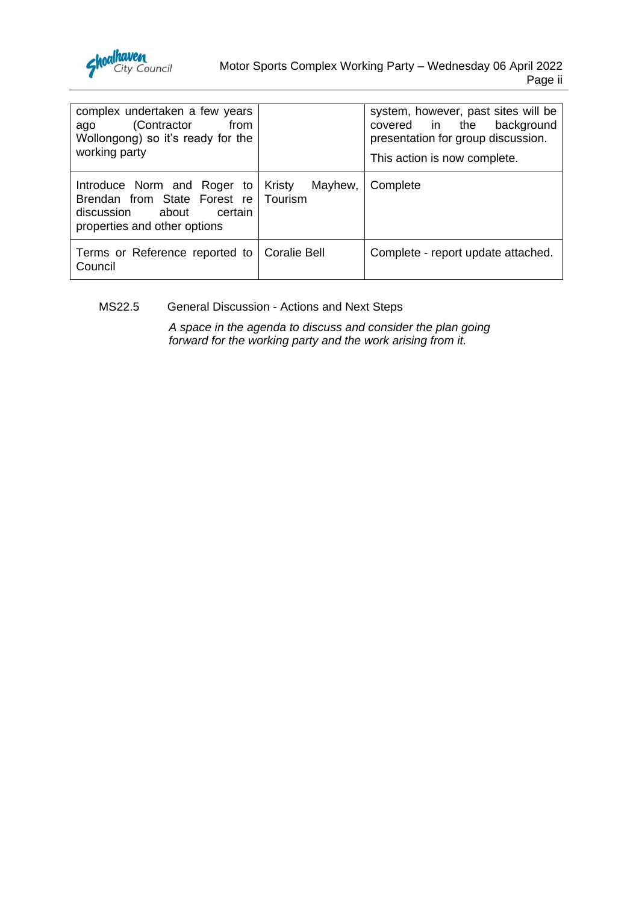

| complex undertaken a few years<br>(Contractor<br>from<br>ago<br>Wollongong) so it's ready for the<br>working party            |                              | system, however, past sites will be<br>covered in the background<br>presentation for group discussion.<br>This action is now complete. |
|-------------------------------------------------------------------------------------------------------------------------------|------------------------------|----------------------------------------------------------------------------------------------------------------------------------------|
| Introduce Norm and Roger to<br>Brendan from State Forest re<br>certain<br>discussion<br>about<br>properties and other options | Mayhew,<br>Kristy<br>Tourism | Complete                                                                                                                               |
| Terms or Reference reported to   Coralie Bell<br>Council                                                                      |                              | Complete - report update attached.                                                                                                     |

# MS22.5 General Discussion - Actions and Next Steps

*A space in the agenda to discuss and consider the plan going forward for the working party and the work arising from it.*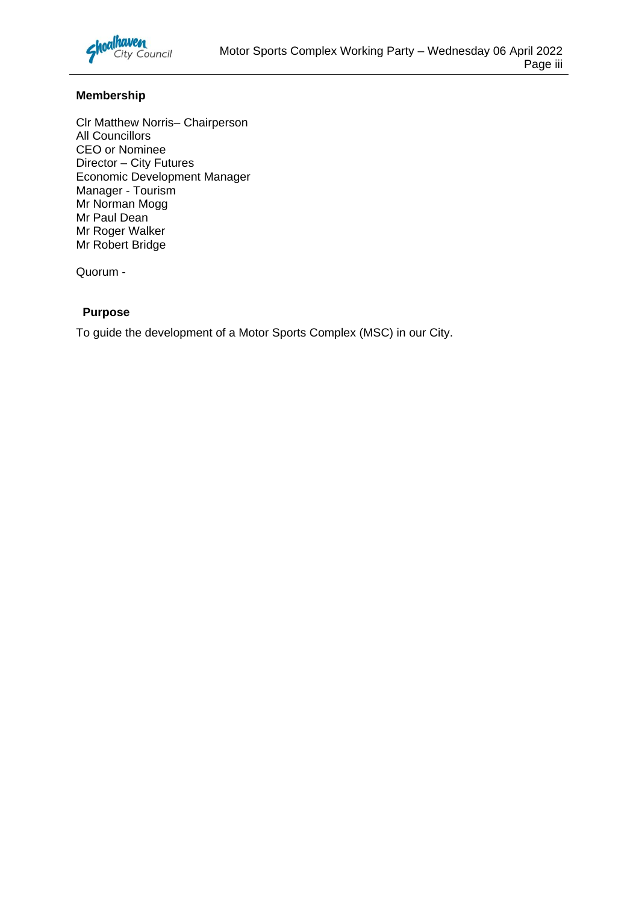

# **Membership**

Clr Matthew Norris– Chairperson All Councillors CEO or Nominee Director – City Futures Economic Development Manager Manager - Tourism Mr Norman Mogg Mr Paul Dean Mr Roger Walker Mr Robert Bridge

Quorum -

## **Purpose**

To guide the development of a Motor Sports Complex (MSC) in our City.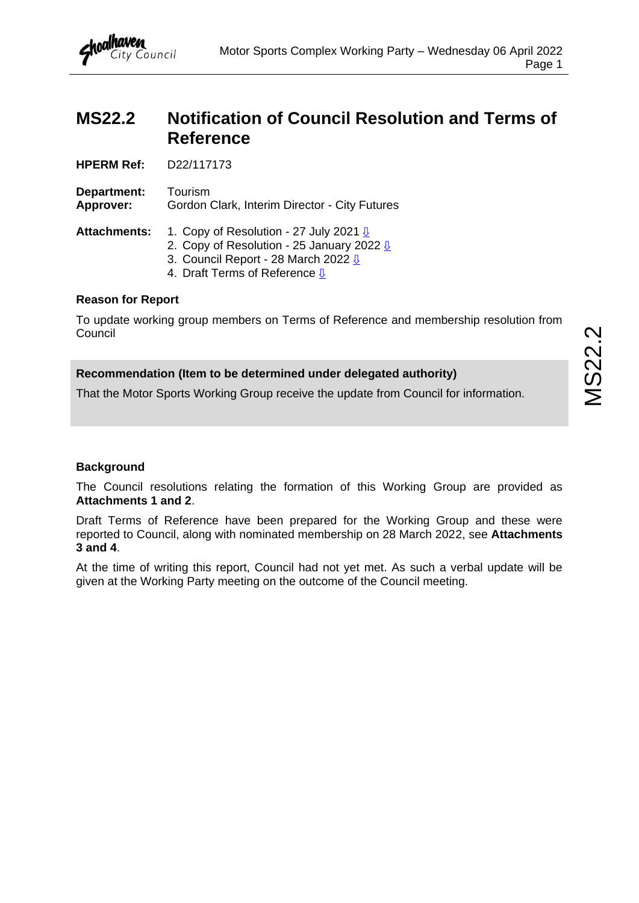# <span id="page-3-0"></span>**MS22.2 Notification of Council Resolution and Terms of Reference**

**HPERM Ref:** D22/117173

**Department:** Tourism **Approver:** Gordon Clark, Interim Director - City Futures

Attachments: 1. Copy of Resolution - 27 July 2021 **<u>U</u>** 

- 2. Copy of Resolution 25 January 2022  $\sqrt{10}$
- 3. Council Report 28 March 2022  $\underline{\sqrt{0}}$ 
	- 4. Draft Terms of Reference  $\sqrt{1}$

## **Reason for Report**

To update working group members on Terms of Reference and membership resolution from **Council** 

# **Recommendation (Item to be determined under delegated authority)**

That the Motor Sports Working Group receive the update from Council for information.

## **Background**

The Council resolutions relating the formation of this Working Group are provided as **Attachments 1 and 2**.

Draft Terms of Reference have been prepared for the Working Group and these were reported to Council, along with nominated membership on 28 March 2022, see **Attachments 3 and 4**.

At the time of writing this report, Council had not yet met. As such a verbal update will be given at the Working Party meeting on the outcome of the Council meeting.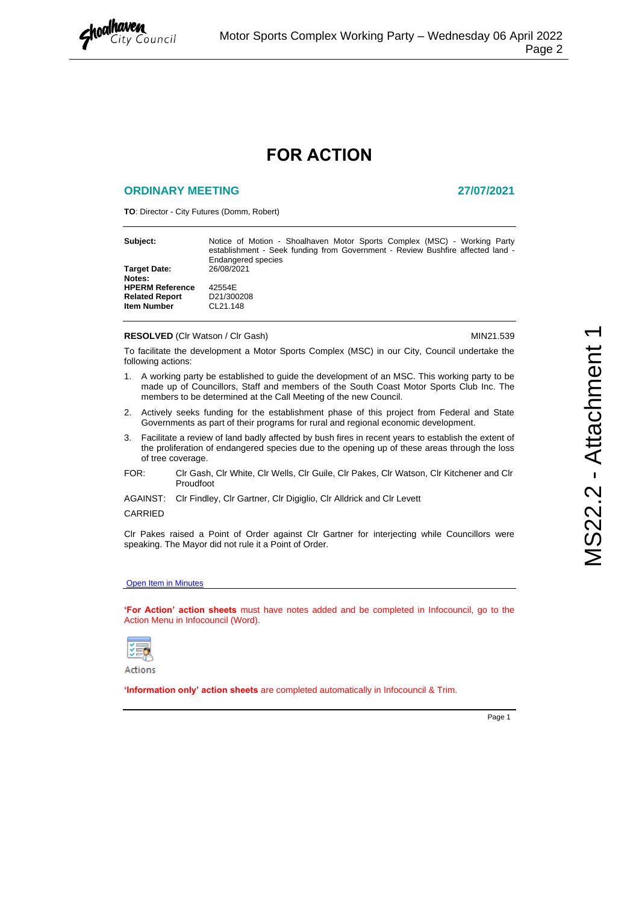<span id="page-4-0"></span>

# **FOR ACTION**

#### **ORDINARY MEETING 27/07/2021**

**TO**: Director - City Futures (Domm, Robert)

| Subject:                      | Notice of Motion - Shoalhaven Motor Sports Complex (MSC) - Working Party<br>establishment - Seek funding from Government - Review Bushfire affected land -<br>Endangered species |
|-------------------------------|----------------------------------------------------------------------------------------------------------------------------------------------------------------------------------|
| <b>Target Date:</b><br>Notes: | 26/08/2021                                                                                                                                                                       |
| <b>HPERM Reference</b>        | 42554E                                                                                                                                                                           |
| <b>Related Report</b>         | D21/300208                                                                                                                                                                       |
| <b>Item Number</b>            | CL21.148                                                                                                                                                                         |

#### **RESOLVED** (CIr Watson / CIr Gash) MIN21.539

To facilitate the development a Motor Sports Complex (MSC) in our City, Council undertake the following actions:

- 1. A working party be established to guide the development of an MSC. This working party to be made up of Councillors, Staff and members of the South Coast Motor Sports Club Inc. The members to be determined at the Call Meeting of the new Council.
- 2. Actively seeks funding for the establishment phase of this project from Federal and State Governments as part of their programs for rural and regional economic development.
- 3. Facilitate a review of land badly affected by bush fires in recent years to establish the extent of the proliferation of endangered species due to the opening up of these areas through the loss of tree coverage.
- FOR: Clr Gash, Clr White, Clr Wells, Clr Guile, Clr Pakes, Clr Watson, Clr Kitchener and Clr Proudfoot
- AGAINST: Clr Findley, Clr Gartner, Clr Digiglio, Clr Alldrick and Clr Levett

#### CARRIED

Clr Pakes raised a Point of Order against Clr Gartner for interjecting while Councillors were speaking. The Mayor did not rule it a Point of Order.

#### **Open Item in Minutes**

**'For Action' action sheets** must have notes added and be completed in Infocouncil, go to the Action Menu in Infocouncil (Word).



Actions

**'Information only' action sheets** are completed automatically in Infocouncil & Trim.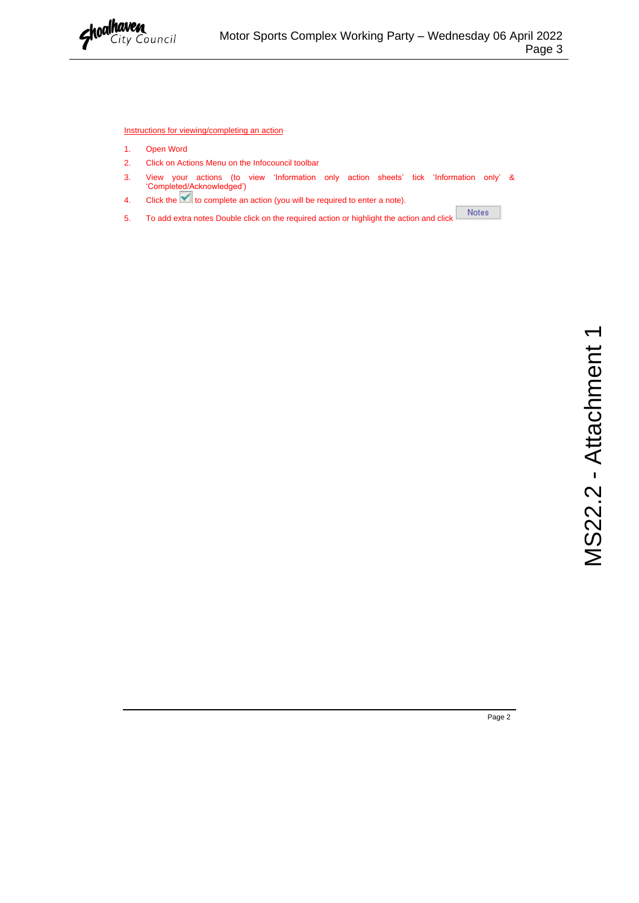

Instructions for viewing/completing an action

- 1. Open Word
- 2. Click on Actions Menu on the Infocouncil toolbar
- 3. View your actions (to view 'Information only action sheets' tick 'Information only' & 'Completed/Acknowledged')
- 4. Click the  $\blacktriangleright$  to complete an action (you will be required to enter a note).
- $\operatorname{\sf Notes}$ 5. To add extra notes Double click on the required action or highlight the action and click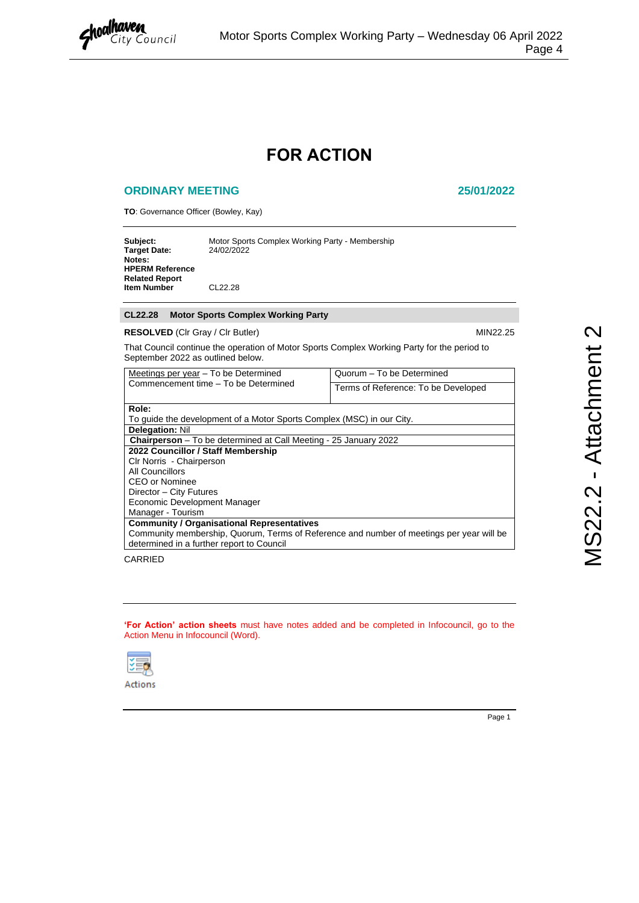<span id="page-6-0"></span>

# **FOR ACTION**

#### **ORDINARY MEETING 25/01/2022**

**TO**: Governance Officer (Bowley, Kay)

| Subject:<br><b>Target Date:</b>                           | Motor Sports Complex Working Party - Membership<br>24/02/2022 |
|-----------------------------------------------------------|---------------------------------------------------------------|
| Notes:<br><b>HPERM Reference</b><br><b>Related Report</b> |                                                               |
| <b>Item Number</b>                                        | CL22.28                                                       |

#### **CL22.28 Motor Sports Complex Working Party**

#### **RESOLVED** (CIr Gray / CIr Butler) MIN22.25

That Council continue the operation of Motor Sports Complex Working Party for the period to September 2022 as outlined below.

| Meetings per year – To be Determined                                                     | Quorum - To be Determined           |  |
|------------------------------------------------------------------------------------------|-------------------------------------|--|
| Commencement time - To be Determined                                                     | Terms of Reference: To be Developed |  |
|                                                                                          |                                     |  |
| Role:                                                                                    |                                     |  |
| To quide the development of a Motor Sports Complex (MSC) in our City.                    |                                     |  |
| <b>Delegation: Nil</b>                                                                   |                                     |  |
| <b>Chairperson</b> – To be determined at Call Meeting - 25 January 2022                  |                                     |  |
| 2022 Councillor / Staff Membership                                                       |                                     |  |
| Clr Norris - Chairperson                                                                 |                                     |  |
| All Councillors                                                                          |                                     |  |
| <b>CEO or Nominee</b>                                                                    |                                     |  |
| Director - City Futures                                                                  |                                     |  |
| Economic Development Manager                                                             |                                     |  |
| Manager - Tourism                                                                        |                                     |  |
| <b>Community / Organisational Representatives</b>                                        |                                     |  |
| Community membership, Quorum, Terms of Reference and number of meetings per year will be |                                     |  |
| determined in a further report to Council                                                |                                     |  |

CARRIED

**'For Action' action sheets** must have notes added and be completed in Infocouncil, go to the Action Menu in Infocouncil (Word).

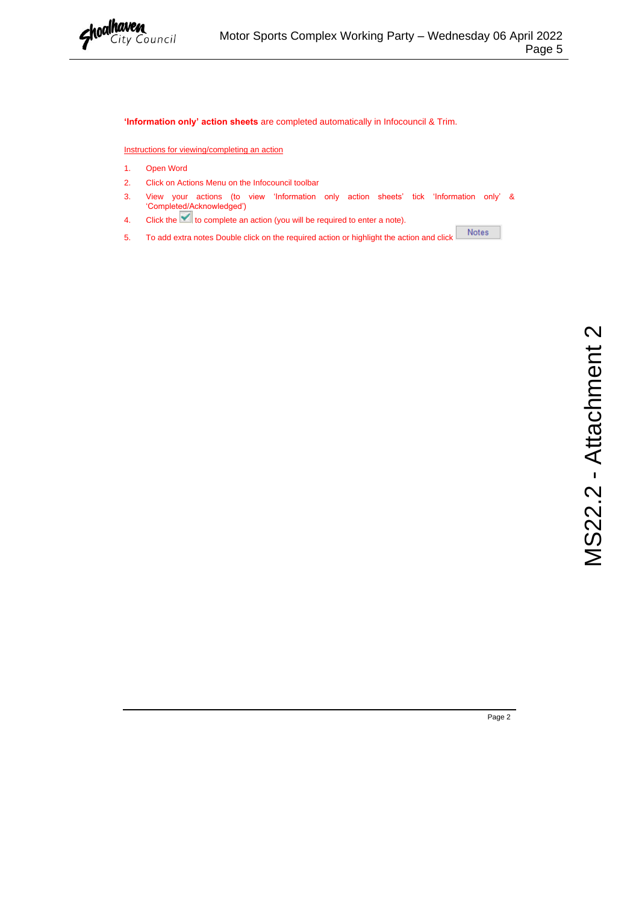

#### **'Information only' action sheets** are completed automatically in Infocouncil & Trim.

Instructions for viewing/completing an action

- 1. Open Word
- 2. Click on Actions Menu on the Infocouncil toolbar
- 3. View your actions (to view 'Information only action sheets' tick 'Information only' & 'Completed/Acknowledged')
- 4. Click the **the state of the complete an action** (you will be required to enter a note).
- Notes 5. To add extra notes Double click on the required action or highlight the action and click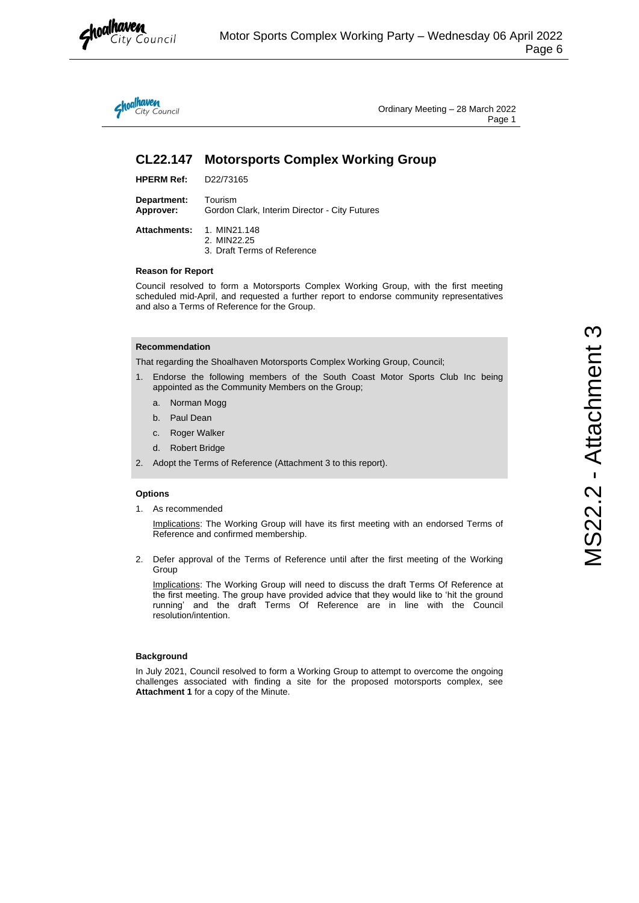

<span id="page-8-0"></span>hoalhaven<br>City Council

Ordinary Meeting – 28 March 2022 Page 1

# **CL22.147 Motorsports Complex Working Group**

| <b>HPERM Ref:</b> | D22/73165 |
|-------------------|-----------|
|-------------------|-----------|

**Department:** Tourism **Approver:** Gordon Clark, Interim Director - City Futures

| Attachments: 1. MIN21.148   |
|-----------------------------|
| 2. MIN22.25                 |
| 3. Draft Terms of Reference |

#### **Reason for Report**

Council resolved to form a Motorsports Complex Working Group, with the first meeting scheduled mid-April, and requested a further report to endorse community representatives and also a Terms of Reference for the Group.

### **Recommendation**

That regarding the Shoalhaven Motorsports Complex Working Group, Council;

- 1. Endorse the following members of the South Coast Motor Sports Club Inc being appointed as the Community Members on the Group;
	- a. Norman Mogg
	- b. Paul Dean
	- c. Roger Walker
	- d. Robert Bridge
- 2. Adopt the Terms of Reference (Attachment 3 to this report).

#### **Options**

1. As recommended

Implications: The Working Group will have its first meeting with an endorsed Terms of Reference and confirmed membership.

2. Defer approval of the Terms of Reference until after the first meeting of the Working Group

Implications: The Working Group will need to discuss the draft Terms Of Reference at the first meeting. The group have provided advice that they would like to 'hit the ground running' and the draft Terms Of Reference are in line with the Council resolution/intention.

#### **Background**

In July 2021, Council resolved to form a Working Group to attempt to overcome the ongoing challenges associated with finding a site for the proposed motorsports complex, see **Attachment 1** for a copy of the Minute.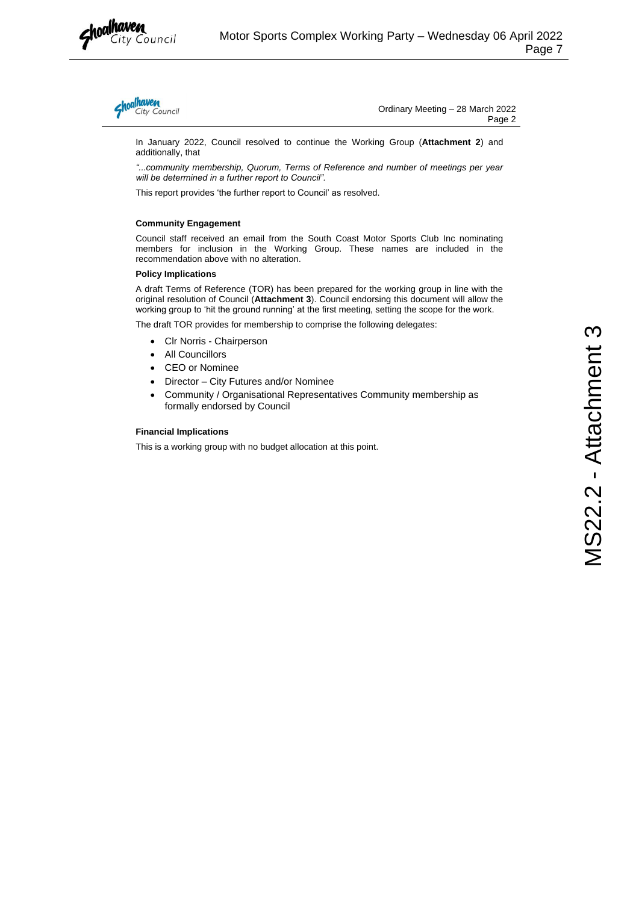



Ordinary Meeting – 28 March 2022 Page 2

In January 2022, Council resolved to continue the Working Group (**Attachment 2**) and additionally, that

*"...community membership, Quorum, Terms of Reference and number of meetings per year will be determined in a further report to Council".* 

This report provides 'the further report to Council' as resolved.

#### **Community Engagement**

Council staff received an email from the South Coast Motor Sports Club Inc nominating members for inclusion in the Working Group. These names are included in the recommendation above with no alteration.

#### **Policy Implications**

A draft Terms of Reference (TOR) has been prepared for the working group in line with the original resolution of Council (**Attachment 3**). Council endorsing this document will allow the working group to 'hit the ground running' at the first meeting, setting the scope for the work.

The draft TOR provides for membership to comprise the following delegates:

- Clr Norris Chairperson
- All Councillors
- CEO or Nominee
- Director City Futures and/or Nominee
- Community / Organisational Representatives Community membership as formally endorsed by Council

#### **Financial Implications**

This is a working group with no budget allocation at this point.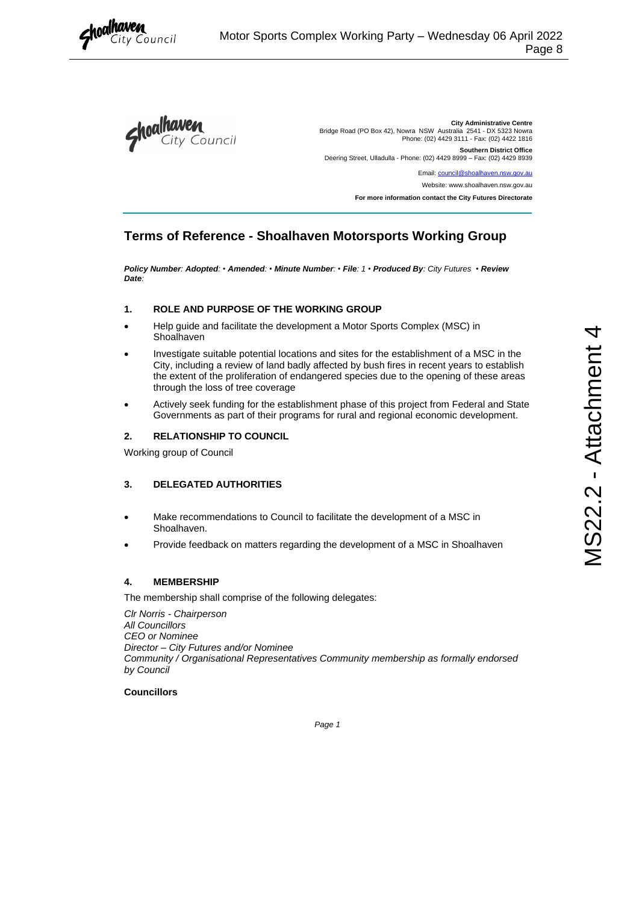<span id="page-10-0"></span>



**City Administrative Centre** Bridge Road (PO Box 42), Nowra NSW Australia 2541 - DX 5323 Nowra Phone: (02) 4429 3111 - Fax: (02) 4422 1816 **Southern District Office** Deering Street, Ulladulla - Phone: (02) 4429 8999 – Fax: (02) 4429 8939 Email: council@shoalhaven.nsw.gov.au

Website: www.shoalhaven.nsw.gov.au

**For more information contact the City Futures Directorate** 

# **Terms of Reference - Shoalhaven Motorsports Working Group**

*Policy Number: Adopted: • Amended: • Minute Number: • File: 1 • Produced By: City Futures • Review Date:* 

### **1. ROLE AND PURPOSE OF THE WORKING GROUP**

- Help guide and facilitate the development a Motor Sports Complex (MSC) in Shoalhaven
- Investigate suitable potential locations and sites for the establishment of a MSC in the City, including a review of land badly affected by bush fires in recent years to establish the extent of the proliferation of endangered species due to the opening of these areas through the loss of tree coverage
- Actively seek funding for the establishment phase of this project from Federal and State Governments as part of their programs for rural and regional economic development.

#### **2. RELATIONSHIP TO COUNCIL**

Working group of Council

### **3. DELEGATED AUTHORITIES**

- Make recommendations to Council to facilitate the development of a MSC in Shoalhaven.
- Provide feedback on matters regarding the development of a MSC in Shoalhaven

### **4. MEMBERSHIP**

The membership shall comprise of the following delegates:

*Clr Norris - Chairperson All Councillors CEO or Nominee Director – City Futures and/or Nominee Community / Organisational Representatives Community membership as formally endorsed by Council*

#### **Councillors**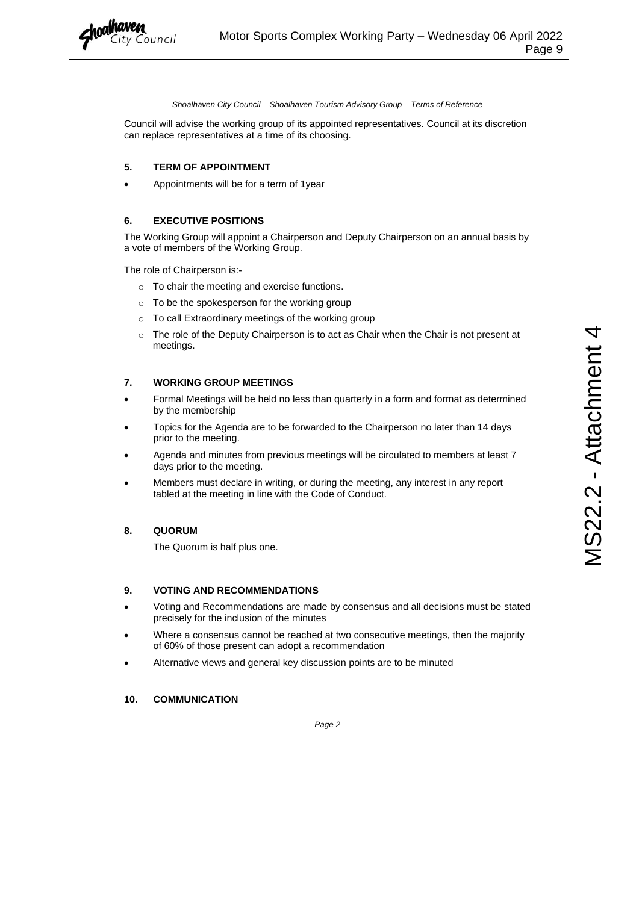

*Shoalhaven City Council – Shoalhaven Tourism Advisory Group – Terms of Reference*

Council will advise the working group of its appointed representatives. Council at its discretion can replace representatives at a time of its choosing.

#### **5. TERM OF APPOINTMENT**

• Appointments will be for a term of 1year

#### **6. EXECUTIVE POSITIONS**

The Working Group will appoint a Chairperson and Deputy Chairperson on an annual basis by a vote of members of the Working Group.

The role of Chairperson is:-

- o To chair the meeting and exercise functions.
- o To be the spokesperson for the working group
- o To call Extraordinary meetings of the working group
- $\circ$  The role of the Deputy Chairperson is to act as Chair when the Chair is not present at meetings.

#### **7. WORKING GROUP MEETINGS**

- Formal Meetings will be held no less than quarterly in a form and format as determined by the membership
- Topics for the Agenda are to be forwarded to the Chairperson no later than 14 days prior to the meeting.
- Agenda and minutes from previous meetings will be circulated to members at least 7 days prior to the meeting.
- Members must declare in writing, or during the meeting, any interest in any report tabled at the meeting in line with the Code of Conduct.

#### **8. QUORUM**

The Quorum is half plus one.

#### **9. VOTING AND RECOMMENDATIONS**

- Voting and Recommendations are made by consensus and all decisions must be stated precisely for the inclusion of the minutes
- Where a consensus cannot be reached at two consecutive meetings, then the majority of 60% of those present can adopt a recommendation
- Alternative views and general key discussion points are to be minuted

#### **10. COMMUNICATION**